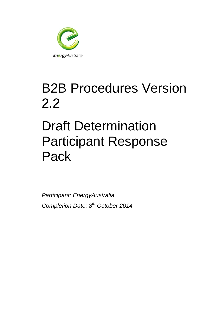

## B2B Procedures Version 2.2

# Draft Determination Participant Response Pack

*Participant: EnergyAustralia Completion Date: 8 th October 2014*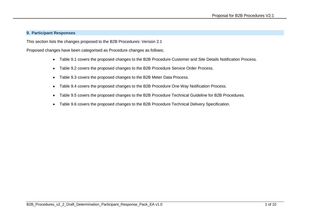#### **9. Participant Responses**

This section lists the changes proposed to the B2B Procedures: Version 2.1

Proposed changes have been categorised as Procedure changes as follows;

- Table 9.1 covers the proposed changes to the B2B Procedure Customer and Site Details Notification Process.
- Table 9.2 covers the proposed changes to the B2B Procedure Service Order Process.
- Table 9.3 covers the proposed changes to the B2B Meter Data Process.
- Table 9.4 covers the proposed changes to the B2B Procedure One Way Notification Process.
- Table 9.5 covers the proposed changes to the B2B Procedure Technical Guideline for B2B Procedures.
- Table 9.6 covers the proposed changes to the B2B Procedure Technical Delivery Specification.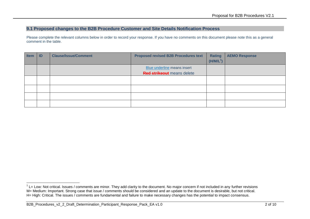## **9.1 Proposed changes to the B2B Procedure Customer and Site Details Notification Process**

| <b>Item</b> | ID | <b>Clause/Issue/Comment</b> | <b>Proposed revised B2B Procedures text</b> | <b>Rating</b><br>$(H/M/L^1)$ | <b>AEMO Response</b> |
|-------------|----|-----------------------------|---------------------------------------------|------------------------------|----------------------|
|             |    |                             | <b>Blue underline means insert</b>          |                              |                      |
|             |    |                             | <b>Red strikeout</b> means delete           |                              |                      |
|             |    |                             |                                             |                              |                      |
|             |    |                             |                                             |                              |                      |
|             |    |                             |                                             |                              |                      |

<sup>-</sup> $1$  L= Low: Not critical. Issues / comments are minor. They add clarity to the document. No major concern if not included in any further revisions M= Medium: Important. Strong case that issue / comments should be considered and an update to the document is desirable, but not critical. H= High: Critical. The issues / comments are fundamental and failure to make necessary changes has the potential to impact consensus.

B2B\_Procedures\_v2\_2\_Draft\_Determination\_Participant\_Response\_Pack\_EA v1.0 2 of 10 2 of 10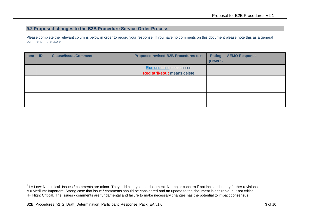## **9.2 Proposed changes to the B2B Procedure Service Order Process**

| <b>Item</b> | ID | <b>Clause/Issue/Comment</b> | <b>Proposed revised B2B Procedures text</b> | <b>Rating</b><br>(H/M/L <sup>2</sup> ) | <b>AEMO Response</b> |
|-------------|----|-----------------------------|---------------------------------------------|----------------------------------------|----------------------|
|             |    |                             | <b>Blue underline means insert</b>          |                                        |                      |
|             |    |                             | <b>Red strikeout</b> means delete           |                                        |                      |
|             |    |                             |                                             |                                        |                      |
|             |    |                             |                                             |                                        |                      |
|             |    |                             |                                             |                                        |                      |
|             |    |                             |                                             |                                        |                      |

 2 L= Low: Not critical. Issues / comments are minor. They add clarity to the document. No major concern if not included in any further revisions M= Medium: Important. Strong case that issue / comments should be considered and an update to the document is desirable, but not critical. H= High: Critical. The issues / comments are fundamental and failure to make necessary changes has the potential to impact consensus.

B2B\_Procedures\_v2\_2\_Draft\_Determination\_Participant\_Response\_Pack\_EA v1.0 3 of 10 3 of 10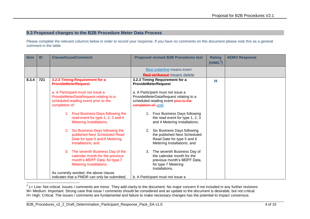#### **9.3 Proposed changes to the B2B Procedure Meter Data Process**

| <b>Item</b> | ID  | <b>Clause/Issue/Comment</b>                                                                                                                                                                                                                                                                                                                                                                                                                          | <b>Proposed revised B2B Procedures text</b>                                                                                                                                                                                                                                                                                                                                                                                                         | <b>Rating</b><br>$(H/M/L^3)$ | <b>AEMO Response</b> |
|-------------|-----|------------------------------------------------------------------------------------------------------------------------------------------------------------------------------------------------------------------------------------------------------------------------------------------------------------------------------------------------------------------------------------------------------------------------------------------------------|-----------------------------------------------------------------------------------------------------------------------------------------------------------------------------------------------------------------------------------------------------------------------------------------------------------------------------------------------------------------------------------------------------------------------------------------------------|------------------------------|----------------------|
|             |     |                                                                                                                                                                                                                                                                                                                                                                                                                                                      | Blue underline means insert<br><b>Red strikeout</b> means delete                                                                                                                                                                                                                                                                                                                                                                                    |                              |                      |
| 8.3.4       | 721 | 3.2.3 Timing Requirement for a<br><b>ProvideMeterRequest</b><br>a. A Participant must not issue a<br>ProvideMeterDataRequest relating to a<br>scheduled reading event prior to the<br>completion of:<br>1. Four Business Days following the<br>read event for type 1, 2, 3 and 4<br><b>Metering Installations;</b><br>Six Business Days following the<br>2.<br>published Next Scheduled Read<br>Date for type 5 and 6 Metering<br>Installations; and | 3.2.3 Timing Requirement for a<br><b>ProvideMeterRequest</b><br>a. A Participant must not issue a<br>ProvideMeterDataRequest relating to a<br>scheduled reading event prior to the<br>completion of: until<br>1. Four Business Days following<br>the read event for type 1, 2, 3<br>and 4 Metering Installations;<br>Six Business Days following<br>2.<br>the published Next Scheduled<br>Read Date for type 5 and 6<br>Metering Installations; and | н                            |                      |
|             |     | The seventh Business Day of the<br>$3_{-}$<br>calendar month for the previous<br>month's MDFF Data, for type 7<br><b>Metering Installations.</b><br>As currently worded, the above clause<br>indicates that a PMDR can only be submitted,                                                                                                                                                                                                            | 3. The seventh Business Day of<br>the calendar month for the<br>previous month's MDFF Data,<br>for type 7 Metering<br>Installations.<br>b. A Participant must not issue a                                                                                                                                                                                                                                                                           |                              |                      |

 3 L= Low: Not critical. Issues / comments are minor. They add clarity to the document. No major concern if not included in any further revisions M= Medium: Important. Strong case that issue / comments should be considered and an update to the document is desirable, but not critical. H= High: Critical. The issues / comments are fundamental and failure to make necessary changes has the potential to impact consensus.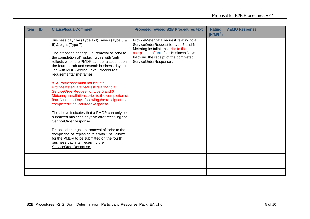| <b>Item</b> | ID | <b>Clause/Issue/Comment</b>                                                                                                                                                                                                                                                                                                                                                                                                                                                                                                                                                                                                                                                                                                                                                                                                                                                                                                                                       | <b>Proposed revised B2B Procedures text</b>                                                                                                                                                                                       | <b>Rating</b><br>$(H/M/L^3)$ | <b>AEMO Response</b> |
|-------------|----|-------------------------------------------------------------------------------------------------------------------------------------------------------------------------------------------------------------------------------------------------------------------------------------------------------------------------------------------------------------------------------------------------------------------------------------------------------------------------------------------------------------------------------------------------------------------------------------------------------------------------------------------------------------------------------------------------------------------------------------------------------------------------------------------------------------------------------------------------------------------------------------------------------------------------------------------------------------------|-----------------------------------------------------------------------------------------------------------------------------------------------------------------------------------------------------------------------------------|------------------------------|----------------------|
|             |    | business day five (Type 1-4), seven (Type 5 &<br>6) & eight (Type 7).<br>The proposed change, i.e. removal of 'prior to<br>the completion of' replacing this with 'until'<br>reflects when the PMDR can be raised, i.e. on<br>the fourth, sixth and seventh business days, in<br>line with MDP Service Level Procedures'<br>requirements/timeframes.<br>b. A Participant must not issue a<br>ProvideMeterDataRequest relating to a<br>ServiceOrderRequest for type 5 and 6<br>Metering Installations prior to the completion of<br>four Business Days following the receipt of the<br>completed ServiceOrderResponse<br>The above indicates that a PMDR can only be<br>submitted business day five after receiving the<br>ServiceOrderResponse.<br>Proposed change, i.e. removal of 'prior to the<br>completion of' replacing this with 'until' allows<br>for the PMDR to be submitted on the fourth<br>business day after receiving the<br>ServiceOrderResponse. | ProvideMeterDataRequest relating to a<br>ServiceOrderRequest for type 5 and 6<br>Metering Installations prior to the<br>completion of until four Business Days<br>following the receipt of the completed<br>ServiceOrderResponse. |                              |                      |
|             |    |                                                                                                                                                                                                                                                                                                                                                                                                                                                                                                                                                                                                                                                                                                                                                                                                                                                                                                                                                                   |                                                                                                                                                                                                                                   |                              |                      |
|             |    |                                                                                                                                                                                                                                                                                                                                                                                                                                                                                                                                                                                                                                                                                                                                                                                                                                                                                                                                                                   |                                                                                                                                                                                                                                   |                              |                      |
|             |    |                                                                                                                                                                                                                                                                                                                                                                                                                                                                                                                                                                                                                                                                                                                                                                                                                                                                                                                                                                   |                                                                                                                                                                                                                                   |                              |                      |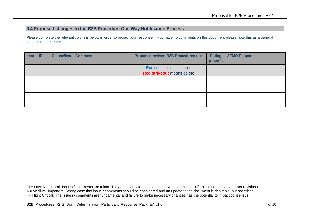## **9.4 Proposed changes to the B2B Procedure One Way Notification Process**

| <b>Item</b> | ID | <b>Clause/Issue/Comment</b> | <b>Proposed revised B2B Procedures text</b> | <b>Rating</b>         | <b>AEMO Response</b> |
|-------------|----|-----------------------------|---------------------------------------------|-----------------------|----------------------|
|             |    |                             |                                             | (H/M/L <sup>4</sup> ) |                      |
|             |    |                             | <b>Blue underline means insert</b>          |                       |                      |
|             |    |                             | <b>Red strikeout</b> means delete           |                       |                      |
|             |    |                             |                                             |                       |                      |
|             |    |                             |                                             |                       |                      |
|             |    |                             |                                             |                       |                      |
|             |    |                             |                                             |                       |                      |
|             |    |                             |                                             |                       |                      |

<sup>-</sup> $4$  L= Low: Not critical. Issues / comments are minor. They add clarity to the document. No major concern if not included in any further revisions M= Medium: Important. Strong case that issue / comments should be considered and an update to the document is desirable, but not critical. H= High: Critical. The issues / comments are fundamental and failure to make necessary changes has the potential to impact consensus.

B2B\_Procedures\_v2\_2\_Draft\_Determination\_Participant\_Response\_Pack\_EA v1.0 7 of 10 7 of 10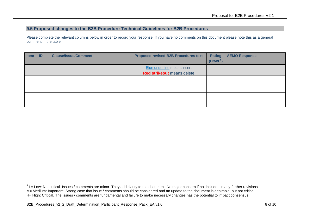#### **9.5 Proposed changes to the B2B Procedure Technical Guidelines for B2B Procedures**

| <b>Item</b> | ID | <b>Clause/Issue/Comment</b> | <b>Proposed revised B2B Procedures text</b>                             | <b>Rating</b><br>(H/M/L <sup>5</sup> ) | <b>AEMO Response</b> |
|-------------|----|-----------------------------|-------------------------------------------------------------------------|----------------------------------------|----------------------|
|             |    |                             | <b>Blue underline means insert</b><br><b>Red strikeout</b> means delete |                                        |                      |
|             |    |                             |                                                                         |                                        |                      |
|             |    |                             |                                                                         |                                        |                      |
|             |    |                             |                                                                         |                                        |                      |
|             |    |                             |                                                                         |                                        |                      |

 5 L= Low: Not critical. Issues / comments are minor. They add clarity to the document. No major concern if not included in any further revisions M= Medium: Important. Strong case that issue / comments should be considered and an update to the document is desirable, but not critical. H= High: Critical. The issues / comments are fundamental and failure to make necessary changes has the potential to impact consensus.

B2B\_Procedures\_v2\_2\_Draft\_Determination\_Participant\_Response\_Pack\_EA v1.0 8 of 10 8 of 10